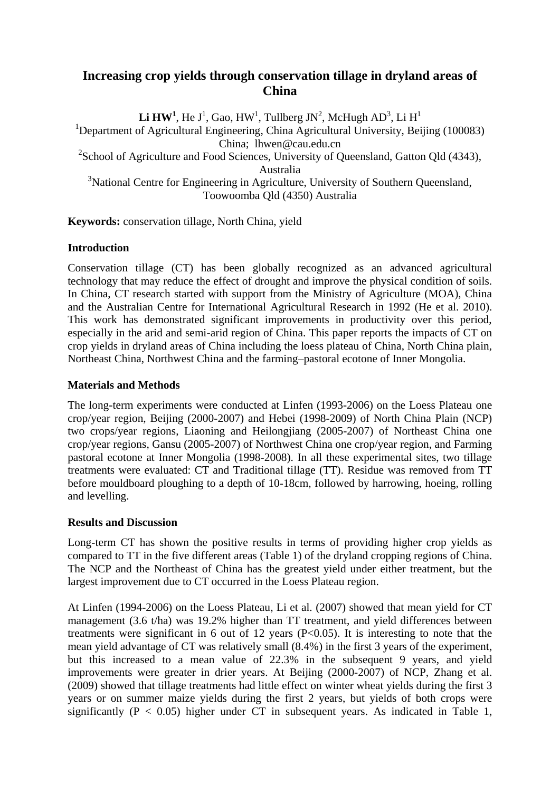# **Increasing crop yields through conservation tillage in dryland areas of China**

 ${\rm\bf Li\,HW^1}$ , He J $^1$ , Gao, HW $^1$ , Tullberg JN $^2$ , McHugh AD $^3$ , Li H $^1$ <sup>1</sup>Department of Agricultural Engineering, China Agricultural University, Beijing (100083) China; lhwen@cau.edu.cn  $2$ School of Agriculture and Food Sciences, University of Queensland, Gatton Qld (4343), Australia <sup>3</sup>National Centre for Engineering in Agriculture, University of Southern Queensland, Toowoomba Qld (4350) Australia

**Keywords:** conservation tillage, North China, yield

## **Introduction**

Conservation tillage (CT) has been globally recognized as an advanced agricultural technology that may reduce the effect of drought and improve the physical condition of soils. In China, CT research started with support from the Ministry of Agriculture (MOA), China and the Australian Centre for International Agricultural Research in 1992 (He et al. 2010). This work has demonstrated significant improvements in productivity over this period, especially in the arid and semi-arid region of China. This paper reports the impacts of CT on crop yields in dryland areas of China including the loess plateau of China, North China plain, Northeast China, Northwest China and the farming–pastoral ecotone of Inner Mongolia.

### **Materials and Methods**

The long-term experiments were conducted at Linfen (1993-2006) on the Loess Plateau one crop/year region, Beijing (2000-2007) and Hebei (1998-2009) of North China Plain (NCP) two crops/year regions, Liaoning and Heilongjiang (2005-2007) of Northeast China one crop/year regions, Gansu (2005-2007) of Northwest China one crop/year region, and Farming pastoral ecotone at Inner Mongolia (1998-2008). In all these experimental sites, two tillage treatments were evaluated: CT and Traditional tillage (TT). Residue was removed from TT before mouldboard ploughing to a depth of 10-18cm, followed by harrowing, hoeing, rolling and levelling.

#### **Results and Discussion**

Long-term CT has shown the positive results in terms of providing higher crop yields as compared to TT in the five different areas (Table 1) of the dryland cropping regions of China. The NCP and the Northeast of China has the greatest yield under either treatment, but the largest improvement due to CT occurred in the Loess Plateau region.

At Linfen (1994-2006) on the Loess Plateau, Li et al. (2007) showed that mean yield for CT management (3.6 t/ha) was 19.2% higher than TT treatment, and yield differences between treatments were significant in 6 out of 12 years  $(P<0.05)$ . It is interesting to note that the mean yield advantage of CT was relatively small (8.4%) in the first 3 years of the experiment, but this increased to a mean value of 22.3% in the subsequent 9 years, and yield improvements were greater in drier years. At Beijing (2000-2007) of NCP, Zhang et al. (2009) showed that tillage treatments had little effect on winter wheat yields during the first 3 years or on summer maize yields during the first 2 years, but yields of both crops were significantly ( $P < 0.05$ ) higher under CT in subsequent years. As indicated in Table 1,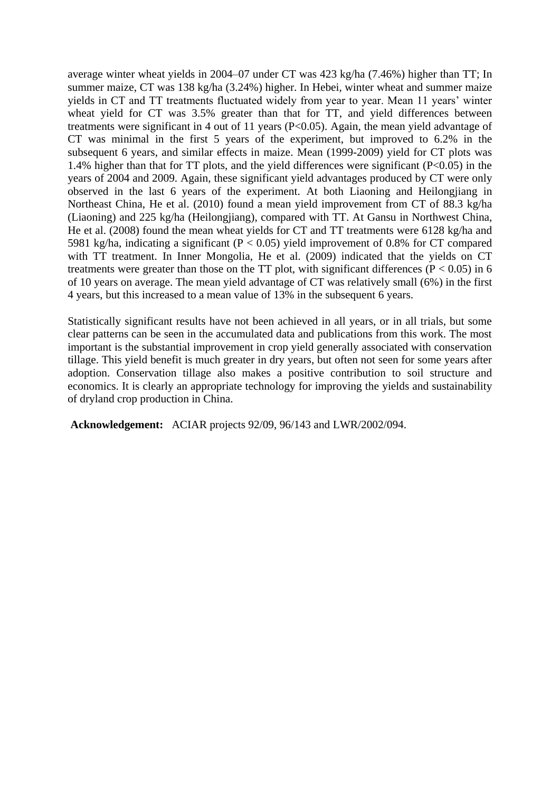average winter wheat yields in 2004–07 under CT was 423 kg/ha (7.46%) higher than TT; In summer maize, CT was 138 kg/ha (3.24%) higher. In Hebei, winter wheat and summer maize yields in CT and TT treatments fluctuated widely from year to year. Mean 11 years' winter wheat yield for CT was 3.5% greater than that for TT, and yield differences between treatments were significant in 4 out of 11 years (P<0.05). Again, the mean yield advantage of CT was minimal in the first 5 years of the experiment, but improved to 6.2% in the subsequent 6 years, and similar effects in maize. Mean (1999-2009) yield for CT plots was 1.4% higher than that for TT plots, and the yield differences were significant (P<0.05) in the years of 2004 and 2009. Again, these significant yield advantages produced by CT were only observed in the last 6 years of the experiment. At both Liaoning and Heilongjiang in Northeast China, He et al. (2010) found a mean yield improvement from CT of 88.3 kg/ha (Liaoning) and 225 kg/ha (Heilongjiang), compared with TT. At Gansu in Northwest China, He et al. (2008) found the mean wheat yields for CT and TT treatments were 6128 kg/ha and 5981 kg/ha, indicating a significant ( $P < 0.05$ ) yield improvement of 0.8% for CT compared with TT treatment. In Inner Mongolia, He et al. (2009) indicated that the yields on CT treatments were greater than those on the TT plot, with significant differences ( $P < 0.05$ ) in 6 of 10 years on average. The mean yield advantage of CT was relatively small (6%) in the first 4 years, but this increased to a mean value of 13% in the subsequent 6 years.

Statistically significant results have not been achieved in all years, or in all trials, but some clear patterns can be seen in the accumulated data and publications from this work. The most important is the substantial improvement in crop yield generally associated with conservation tillage. This yield benefit is much greater in dry years, but often not seen for some years after adoption. Conservation tillage also makes a positive contribution to soil structure and economics. It is clearly an appropriate technology for improving the yields and sustainability of dryland crop production in China.

**Acknowledgement:** ACIAR projects 92/09, 96/143 and LWR/2002/094.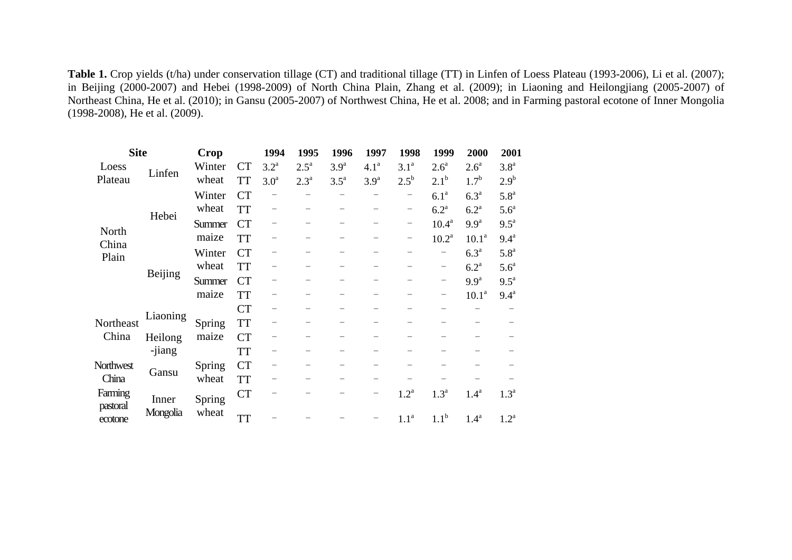**Table 1.** Crop yields (t/ha) under conservation tillage (CT) and traditional tillage (TT) in Linfen of Loess Plateau (1993-2006), Li et al. (2007); in Beijing (2000-2007) and Hebei (1998-2009) of North China Plain, Zhang et al. (2009); in Liaoning and Heilongjiang (2005-2007) of Northeast China, He et al. (2010); in Gansu (2005-2007) of Northwest China, He et al. 2008; and in Farming pastoral ecotone of Inner Mongolia (1998-2008), He et al. (2009).

| <b>Site</b>                    |                   | <b>Crop</b> |           | 1994               | 1995               | 1996               | 1997              | 1998             | 1999                     | 2000               | 2001               |
|--------------------------------|-------------------|-------------|-----------|--------------------|--------------------|--------------------|-------------------|------------------|--------------------------|--------------------|--------------------|
| Loess<br>Plateau               | Linfen            | Winter      | <b>CT</b> | $3.2^{\mathrm{a}}$ | $2.5^{\mathrm{a}}$ | 3.9 <sup>a</sup>   | 4.1 <sup>a</sup>  | 3.1 <sup>a</sup> | 2.6 <sup>a</sup>         | 2.6 <sup>a</sup>   | 3.8 <sup>a</sup>   |
|                                |                   | wheat       | <b>TT</b> | 3.0 <sup>a</sup>   | $2.3^{\rm a}$      | $3.5^{\mathrm{a}}$ | 3.9 <sup>a</sup>  | $2.5^{\rm b}$    | 2.1 <sup>b</sup>         | 1.7 <sup>b</sup>   | 2.9 <sup>b</sup>   |
| North<br>China<br>Plain        | Hebei             | Winter      | <b>CT</b> |                    |                    |                    |                   |                  | 6.1 <sup>a</sup>         | 6.3 <sup>a</sup>   | 5.8 <sup>a</sup>   |
|                                |                   | wheat       | <b>TT</b> | —                  |                    |                    |                   | -                | 6.2 <sup>a</sup>         | 6.2 <sup>a</sup>   | 5.6 <sup>a</sup>   |
|                                |                   | Summer      | <b>CT</b> |                    |                    |                    |                   | -                | $10.4^{\rm a}$           | 9.9 <sup>a</sup>   | $9.5^{\mathrm{a}}$ |
|                                |                   | maize       | <b>TT</b> |                    |                    |                    |                   | -                | $10.2^a$                 | 10.1 <sup>a</sup>  | 9.4 <sup>a</sup>   |
|                                | Beijing           | Winter      | <b>CT</b> |                    |                    |                    |                   |                  | $\overline{\phantom{0}}$ | 6.3 <sup>a</sup>   | 5.8 <sup>a</sup>   |
|                                |                   | wheat       | <b>TT</b> |                    |                    |                    |                   |                  | -                        | $6.2^{\mathrm{a}}$ | 5.6 <sup>a</sup>   |
|                                |                   | Summer      | <b>CT</b> |                    |                    |                    |                   |                  | $\qquad \qquad -$        | 9.9 <sup>a</sup>   | $9.5^{\text{a}}$   |
|                                |                   | maize       | <b>TT</b> |                    |                    |                    |                   |                  |                          | 10.1 <sup>a</sup>  | $9.4^a$            |
| Northeast<br>China             | Liaoning          |             | <b>CT</b> |                    |                    |                    |                   |                  |                          |                    |                    |
|                                |                   | Spring      | <b>TT</b> |                    |                    |                    |                   |                  |                          |                    |                    |
|                                | Heilong           | maize       | <b>CT</b> |                    |                    |                    |                   |                  |                          |                    |                    |
|                                | -jiang            |             | <b>TT</b> |                    |                    |                    |                   |                  |                          |                    |                    |
| Northwest<br>China             | Gansu             | Spring      | <b>CT</b> |                    |                    |                    |                   |                  |                          |                    |                    |
|                                |                   | wheat       | <b>TT</b> |                    |                    |                    |                   |                  |                          |                    |                    |
| Farming<br>pastoral<br>ecotone | Inner<br>Mongolia | Spring      | <b>CT</b> |                    |                    |                    | $\qquad \qquad -$ | 1.2 <sup>a</sup> | 1.3 <sup>a</sup>         | 1.4 <sup>a</sup>   | 1.3 <sup>a</sup>   |
|                                |                   | wheat       | <b>TT</b> |                    |                    |                    |                   | 1.1 <sup>a</sup> | 1.1 <sup>b</sup>         | $1.4^{\mathrm{a}}$ | 1.2 <sup>a</sup>   |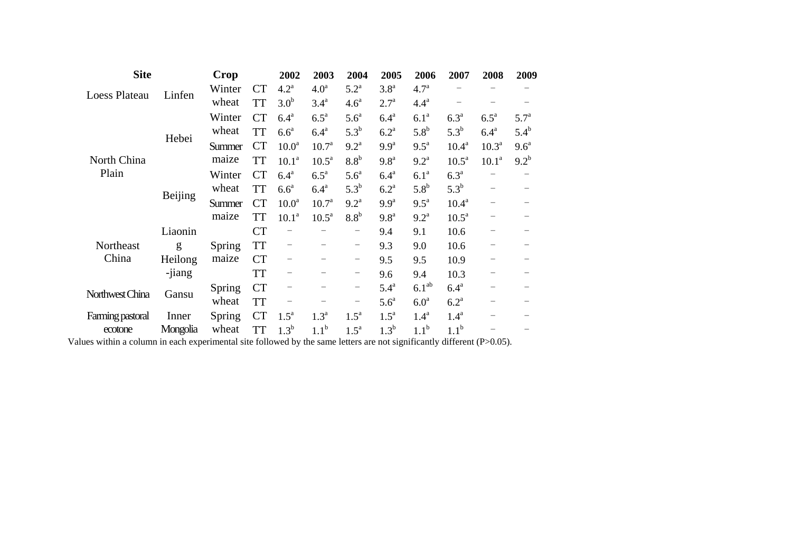| <b>Site</b>          |          | Crop   |           | 2002               | 2003               | 2004                     | 2005               | 2006               | 2007               | 2008                     | 2009             |
|----------------------|----------|--------|-----------|--------------------|--------------------|--------------------------|--------------------|--------------------|--------------------|--------------------------|------------------|
| <b>Loess Plateau</b> | Linfen   | Winter | <b>CT</b> | $4.2^{\mathrm{a}}$ | 4.0 <sup>a</sup>   | $5.2^{\mathrm{a}}$       | 3.8 <sup>a</sup>   | 4.7 <sup>a</sup>   |                    |                          |                  |
|                      |          | wheat  | <b>TT</b> | 3.0 <sup>b</sup>   | 3.4 <sup>a</sup>   | 4.6 <sup>a</sup>         | $2.7^{\circ}$      | 4.4 <sup>a</sup>   |                    |                          |                  |
| North China<br>Plain | Hebei    | Winter | <b>CT</b> | $6.4^{\mathrm{a}}$ | $6.5^{\mathrm{a}}$ | $5.6^a$                  | 6.4 <sup>a</sup>   | 6.1 <sup>a</sup>   | 6.3 <sup>a</sup>   | $6.5^{\mathrm{a}}$       | 5.7 <sup>a</sup> |
|                      |          | wheat  | <b>TT</b> | $6.6^a$            | $6.4^{\mathrm{a}}$ | $5.3^{\rm b}$            | 6.2 <sup>a</sup>   | $5.8^{\rm b}$      | $5.3^{b}$          | $6.4^{\mathrm{a}}$       | $5.4^{\rm b}$    |
|                      |          | Summer | <b>CT</b> | 10.0 <sup>a</sup>  | $10.7^{\circ}$     | 9.2 <sup>a</sup>         | 9.9 <sup>a</sup>   | $9.5^{\mathrm{a}}$ | $10.4^{\rm a}$     | 10.3 <sup>a</sup>        | 9.6 <sup>a</sup> |
|                      |          | maize  | <b>TT</b> | 10.1 <sup>a</sup>  | 10.5 <sup>a</sup>  | $8.8^b$                  | 9.8 <sup>a</sup>   | $9.2^{\mathrm{a}}$ | $10.5^a$           | 10.1 <sup>a</sup>        | $9.2^{b}$        |
|                      | Beijing  | Winter | <b>CT</b> | 6.4 <sup>a</sup>   | $6.5^{\mathrm{a}}$ | $5.6^{\circ}$            | 6.4 <sup>a</sup>   | 6.1 <sup>a</sup>   | 6.3 <sup>a</sup>   |                          |                  |
|                      |          | wheat  | <b>TT</b> | $6.6^a$            | $6.4^{\mathrm{a}}$ | $5.3^{b}$                | $6.2^{\text{a}}$   | 5.8 <sup>b</sup>   | $5.3^{b}$          | $\overline{\phantom{0}}$ |                  |
|                      |          | Summer | <b>CT</b> | 10.0 <sup>a</sup>  | $10.7^{\circ}$     | $9.2^{\text{a}}$         | 9.9 <sup>a</sup>   | $9.5^{\mathrm{a}}$ | $10.4^a$           | $\qquad \qquad -$        |                  |
|                      |          | maize  | <b>TT</b> | 10.1 <sup>a</sup>  | 10.5 <sup>a</sup>  | 8.8 <sup>b</sup>         | 9.8 <sup>a</sup>   | $9.2^{\mathrm{a}}$ | $10.5^a$           |                          |                  |
|                      | Liaonin  |        | <b>CT</b> |                    |                    | $\qquad \qquad -$        | 9.4                | 9.1                | 10.6               |                          |                  |
| Northeast            | g        | Spring | <b>TT</b> | -                  |                    | $\overline{\phantom{a}}$ | 9.3                | 9.0                | 10.6               |                          |                  |
| China                | Heilong  | maize  | <b>CT</b> |                    |                    | $\qquad \qquad -$        | 9.5                | 9.5                | 10.9               |                          |                  |
|                      | -jiang   |        | <b>TT</b> |                    |                    | -                        | 9.6                | 9.4                | 10.3               |                          |                  |
| Northwest China      | Gansu    | Spring | <b>CT</b> |                    |                    | -                        | $5.4^{\mathrm{a}}$ | 6.1 <sup>ab</sup>  | $6.4^a$            |                          |                  |
|                      |          | wheat  | <b>TT</b> |                    |                    | -                        | 5.6 <sup>a</sup>   | 6.0 <sup>a</sup>   | $6.2^{\mathrm{a}}$ |                          |                  |
| Farming pastoral     | Inner    | Spring | <b>CT</b> | $1.5^{\mathrm{a}}$ | 1.3 <sup>a</sup>   | $1.5^{\mathrm{a}}$       | $1.5^a$            | 1.4 <sup>a</sup>   | 1.4 <sup>a</sup>   |                          |                  |
| ecotone              | Mongolia | wheat  | <b>TT</b> | $1.3^{\rm b}$      | $1.1^{\rm b}$      | $1.5^{\mathrm{a}}$       | $1.3^b$            | 1.1 <sup>b</sup>   | 1.1 <sup>b</sup>   |                          |                  |

Values within a column in each experimental site followed by the same letters are not significantly different (P>0.05).